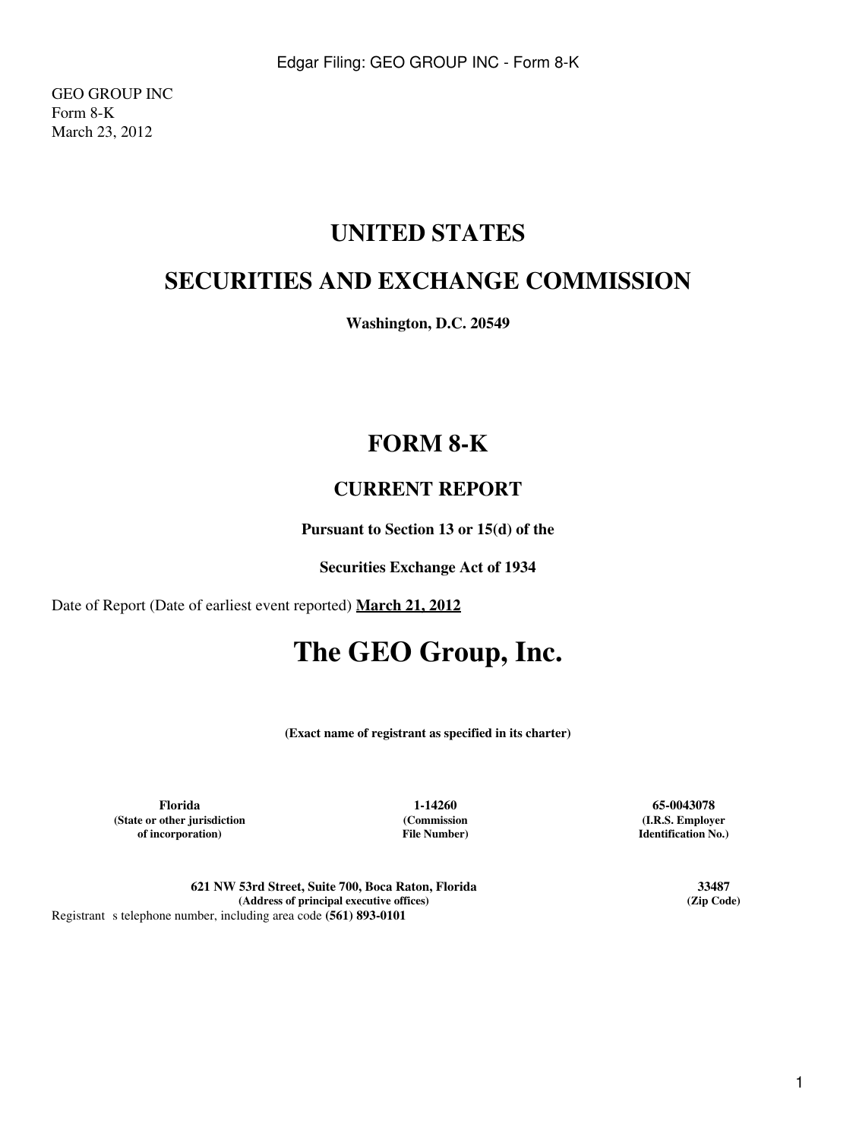GEO GROUP INC Form 8-K March 23, 2012

## **UNITED STATES**

# **SECURITIES AND EXCHANGE COMMISSION**

**Washington, D.C. 20549**

# **FORM 8-K**

### **CURRENT REPORT**

**Pursuant to Section 13 or 15(d) of the**

**Securities Exchange Act of 1934**

Date of Report (Date of earliest event reported) **March 21, 2012**

# **The GEO Group, Inc.**

**(Exact name of registrant as specified in its charter)**

**Florida 1-14260 65-0043078 (State or other jurisdiction of incorporation)**

**(Commission File Number)**

**(I.R.S. Employer Identification No.)**

**621 NW 53rd Street, Suite 700, Boca Raton, Florida 33487**  $(A$ ddress of principal executive offices) Registrant s telephone number, including area code (561) 893-0101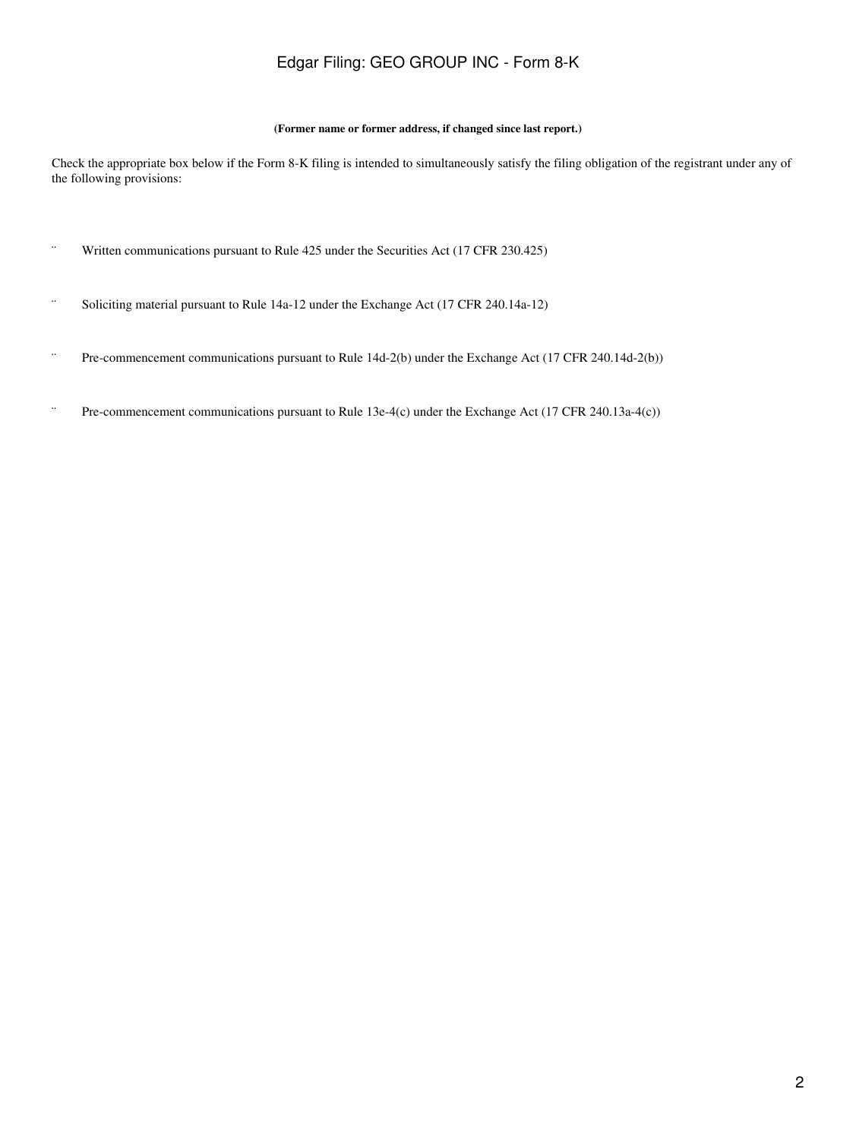### Edgar Filing: GEO GROUP INC - Form 8-K

#### **(Former name or former address, if changed since last report.)**

Check the appropriate box below if the Form 8-K filing is intended to simultaneously satisfy the filing obligation of the registrant under any of the following provisions:

- ¨ Written communications pursuant to Rule 425 under the Securities Act (17 CFR 230.425)
- ¨ Soliciting material pursuant to Rule 14a-12 under the Exchange Act (17 CFR 240.14a-12)
- ¨ Pre-commencement communications pursuant to Rule 14d-2(b) under the Exchange Act (17 CFR 240.14d-2(b))
- ¨ Pre-commencement communications pursuant to Rule 13e-4(c) under the Exchange Act (17 CFR 240.13a-4(c))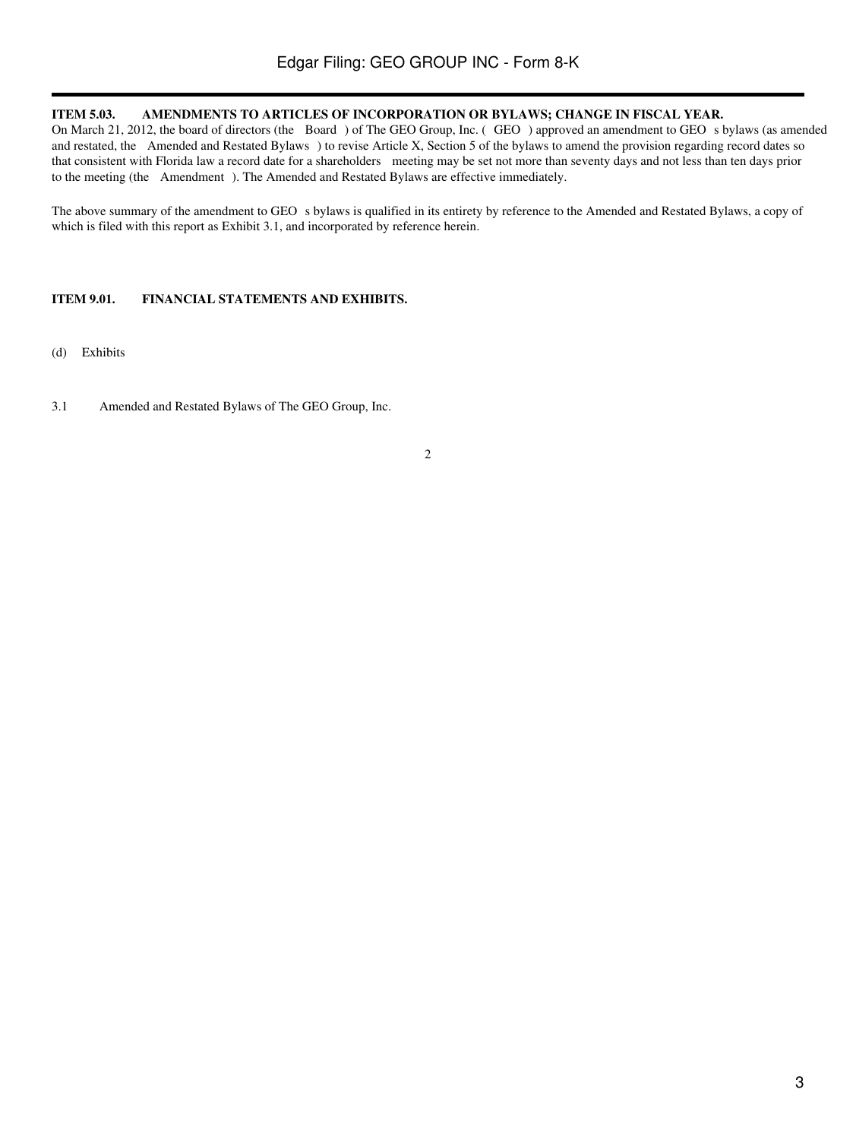#### **ITEM 5.03. AMENDMENTS TO ARTICLES OF INCORPORATION OR BYLAWS; CHANGE IN FISCAL YEAR.**

On March 21, 2012, the board of directors (the Board) of The GEO Group, Inc. (GEO) approved an amendment to GEO s bylaws (as amended and restated, the Amended and Restated Bylaws) to revise Article X, Section 5 of the bylaws to amend the provision regarding record dates so that consistent with Florida law a record date for a shareholders meeting may be set not more than seventy days and not less than ten days prior to the meeting (the Amendment). The Amended and Restated Bylaws are effective immediately.

The above summary of the amendment to GEO s bylaws is qualified in its entirety by reference to the Amended and Restated Bylaws, a copy of which is filed with this report as Exhibit 3.1, and incorporated by reference herein.

#### **ITEM 9.01. FINANCIAL STATEMENTS AND EXHIBITS.**

- (d) Exhibits
- 3.1 Amended and Restated Bylaws of The GEO Group, Inc.

#### 2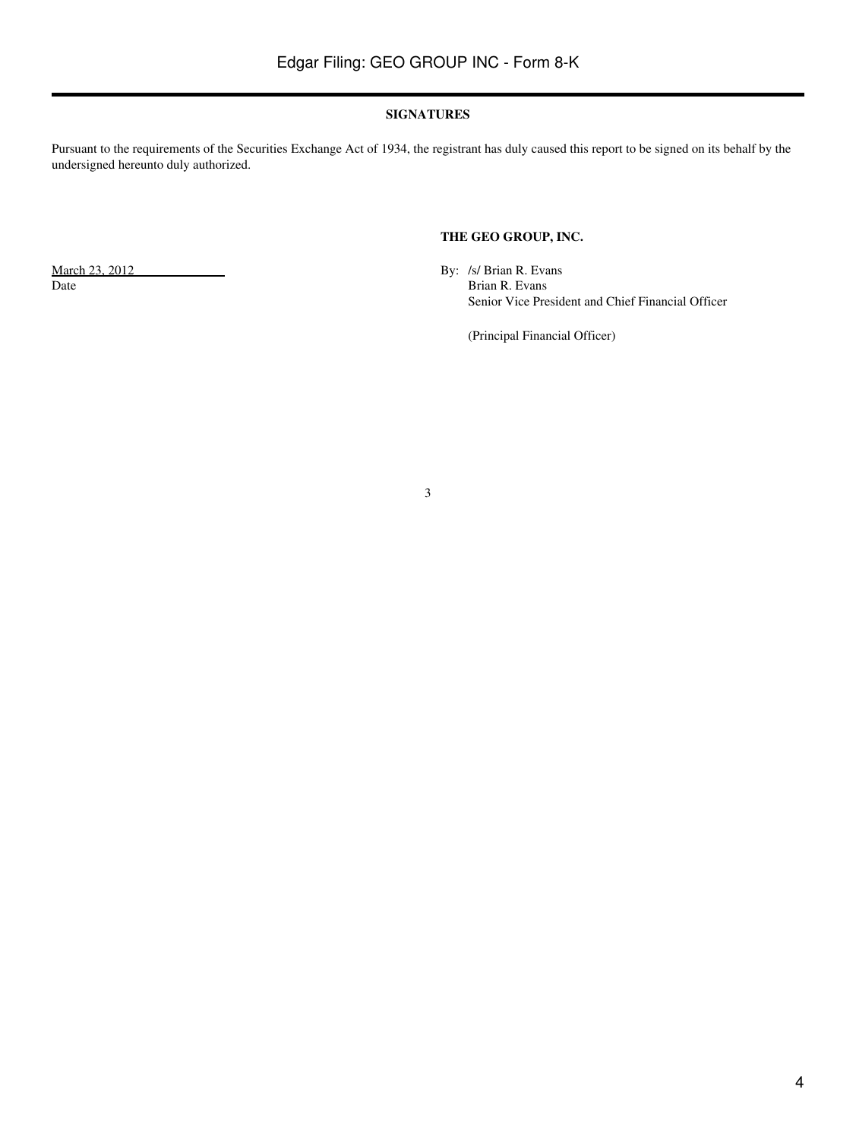#### **SIGNATURES**

Pursuant to the requirements of the Securities Exchange Act of 1934, the registrant has duly caused this report to be signed on its behalf by the undersigned hereunto duly authorized.

#### **THE GEO GROUP, INC.**

March 23, 2012 By: /s/ Brian R. Evans<br>Date Brian R. Evans Brian R. Evans Senior Vice President and Chief Financial Officer

(Principal Financial Officer)

3